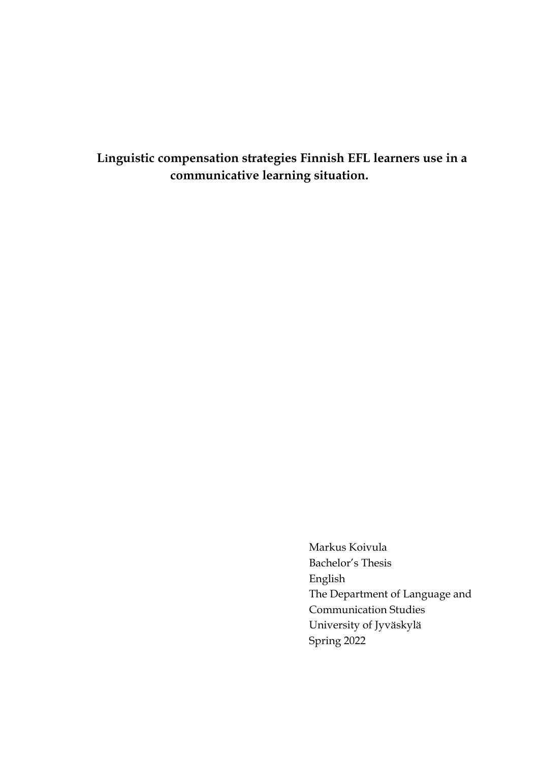**Linguistic compensation strategies Finnish EFL learners use in a communicative learning situation.**

> Markus Koivula Bachelor's Thesis English The Department of Language and Communication Studies University of Jyväskylä Spring 2022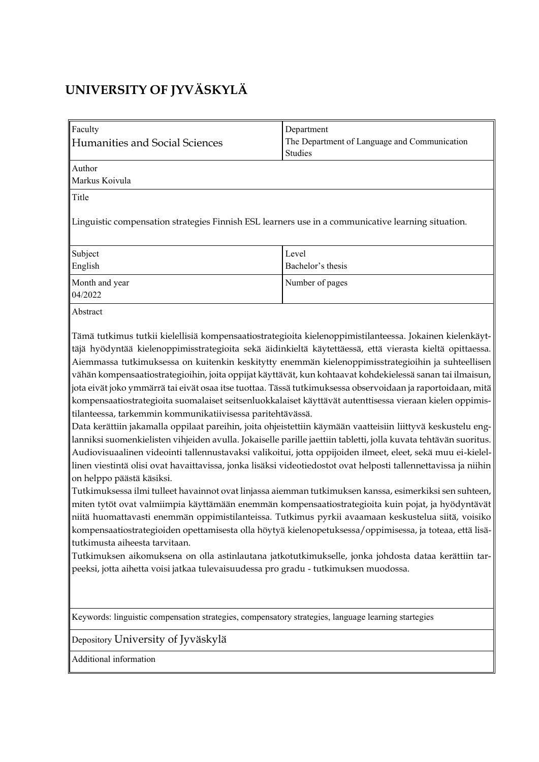# **UNIVERSITY OF JYVÄSKYLÄ**

| Faculty<br>Humanities and Social Sciences<br>Author<br>Markus Koivula<br>Title                                                                                                                                                                                                                                                                                                                                                                                                                                                                                                                                                                                                                                                                                                                                                                                                                                                                                                                                                                                                                                                                                                                                                                                                                                                                                                                                                                                                                                                                                                                                                                                                                                                                                                                                                                                                                            | Department<br>The Department of Language and Communication<br>Studies |  |  |
|-----------------------------------------------------------------------------------------------------------------------------------------------------------------------------------------------------------------------------------------------------------------------------------------------------------------------------------------------------------------------------------------------------------------------------------------------------------------------------------------------------------------------------------------------------------------------------------------------------------------------------------------------------------------------------------------------------------------------------------------------------------------------------------------------------------------------------------------------------------------------------------------------------------------------------------------------------------------------------------------------------------------------------------------------------------------------------------------------------------------------------------------------------------------------------------------------------------------------------------------------------------------------------------------------------------------------------------------------------------------------------------------------------------------------------------------------------------------------------------------------------------------------------------------------------------------------------------------------------------------------------------------------------------------------------------------------------------------------------------------------------------------------------------------------------------------------------------------------------------------------------------------------------------|-----------------------------------------------------------------------|--|--|
| Linguistic compensation strategies Finnish ESL learners use in a communicative learning situation.                                                                                                                                                                                                                                                                                                                                                                                                                                                                                                                                                                                                                                                                                                                                                                                                                                                                                                                                                                                                                                                                                                                                                                                                                                                                                                                                                                                                                                                                                                                                                                                                                                                                                                                                                                                                        |                                                                       |  |  |
| Subject<br>English                                                                                                                                                                                                                                                                                                                                                                                                                                                                                                                                                                                                                                                                                                                                                                                                                                                                                                                                                                                                                                                                                                                                                                                                                                                                                                                                                                                                                                                                                                                                                                                                                                                                                                                                                                                                                                                                                        | Level<br>Bachelor's thesis                                            |  |  |
| Month and year<br>04/2022                                                                                                                                                                                                                                                                                                                                                                                                                                                                                                                                                                                                                                                                                                                                                                                                                                                                                                                                                                                                                                                                                                                                                                                                                                                                                                                                                                                                                                                                                                                                                                                                                                                                                                                                                                                                                                                                                 | Number of pages                                                       |  |  |
| Abstract                                                                                                                                                                                                                                                                                                                                                                                                                                                                                                                                                                                                                                                                                                                                                                                                                                                                                                                                                                                                                                                                                                                                                                                                                                                                                                                                                                                                                                                                                                                                                                                                                                                                                                                                                                                                                                                                                                  |                                                                       |  |  |
| Tämä tutkimus tutkii kielellisiä kompensaatiostrategioita kielenoppimistilanteessa. Jokainen kielenkäyt-<br>täjä hyödyntää kielenoppimisstrategioita sekä äidinkieltä käytettäessä, että vierasta kieltä opittaessa.<br>Aiemmassa tutkimuksessa on kuitenkin keskitytty enemmän kielenoppimisstrategioihin ja suhteellisen<br>vähän kompensaatiostrategioihin, joita oppijat käyttävät, kun kohtaavat kohdekielessä sanan tai ilmaisun,<br>jota eivät joko ymmärrä tai eivät osaa itse tuottaa. Tässä tutkimuksessa observoidaan ja raportoidaan, mitä<br>kompensaatiostrategioita suomalaiset seitsenluokkalaiset käyttävät autenttisessa vieraan kielen oppimis-<br>tilanteessa, tarkemmin kommunikatiivisessa paritehtävässä.<br>Data kerättiin jakamalla oppilaat pareihin, joita ohjeistettiin käymään vaatteisiin liittyvä keskustelu eng-<br>lanniksi suomenkielisten vihjeiden avulla. Jokaiselle parille jaettiin tabletti, jolla kuvata tehtävän suoritus.<br>Audiovisuaalinen videointi tallennustavaksi valikoitui, jotta oppijoiden ilmeet, eleet, sekä muu ei-kielel-<br>linen viestintä olisi ovat havaittavissa, jonka lisäksi videotiedostot ovat helposti tallennettavissa ja niihin<br>on helppo päästä käsiksi.<br>Tutkimuksessa ilmi tulleet havainnot ovat linjassa aiemman tutkimuksen kanssa, esimerkiksi sen suhteen,<br>miten tytöt ovat valmiimpia käyttämään enemmän kompensaatiostrategioita kuin pojat, ja hyödyntävät<br>niitä huomattavasti enemmän oppimistilanteissa. Tutkimus pyrkii avaamaan keskustelua siitä, voisiko<br>kompensaatiostrategioiden opettamisesta olla höytyä kielenopetuksessa/oppimisessa, ja toteaa, että lisä-<br>tutkimusta aiheesta tarvitaan.<br>Tutkimuksen aikomuksena on olla astinlautana jatkotutkimukselle, jonka johdosta dataa kerättiin tar-<br>peeksi, jotta aihetta voisi jatkaa tulevaisuudessa pro gradu - tutkimuksen muodossa. |                                                                       |  |  |
| Keywords: linguistic compensation strategies, compensatory strategies, language learning startegies<br>Depository University of Jyväskylä                                                                                                                                                                                                                                                                                                                                                                                                                                                                                                                                                                                                                                                                                                                                                                                                                                                                                                                                                                                                                                                                                                                                                                                                                                                                                                                                                                                                                                                                                                                                                                                                                                                                                                                                                                 |                                                                       |  |  |
| Additional information                                                                                                                                                                                                                                                                                                                                                                                                                                                                                                                                                                                                                                                                                                                                                                                                                                                                                                                                                                                                                                                                                                                                                                                                                                                                                                                                                                                                                                                                                                                                                                                                                                                                                                                                                                                                                                                                                    |                                                                       |  |  |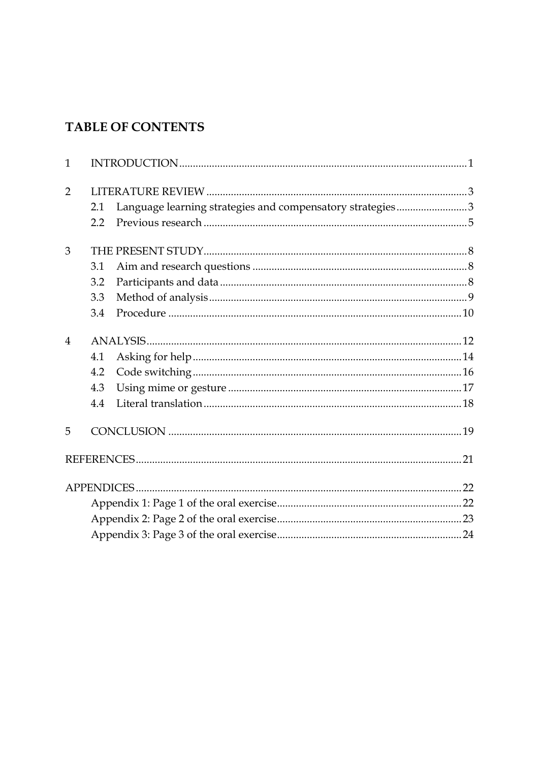# **TABLE OF CONTENTS**

| $\mathbf{1}$   |         |                                                           |  |
|----------------|---------|-----------------------------------------------------------|--|
| $\overline{2}$ |         |                                                           |  |
|                | 2.1     | Language learning strategies and compensatory strategies3 |  |
|                | $2.2\,$ |                                                           |  |
| 3              |         |                                                           |  |
|                | 3.1     |                                                           |  |
|                | 3.2     |                                                           |  |
|                | 3.3     |                                                           |  |
|                | 3.4     |                                                           |  |
| 4              |         |                                                           |  |
|                | 4.1     |                                                           |  |
|                | 4.2     |                                                           |  |
|                | 4.3     |                                                           |  |
|                | 4.4     |                                                           |  |
| 5              |         |                                                           |  |
|                |         |                                                           |  |
|                |         |                                                           |  |
|                |         |                                                           |  |
|                |         |                                                           |  |
|                |         |                                                           |  |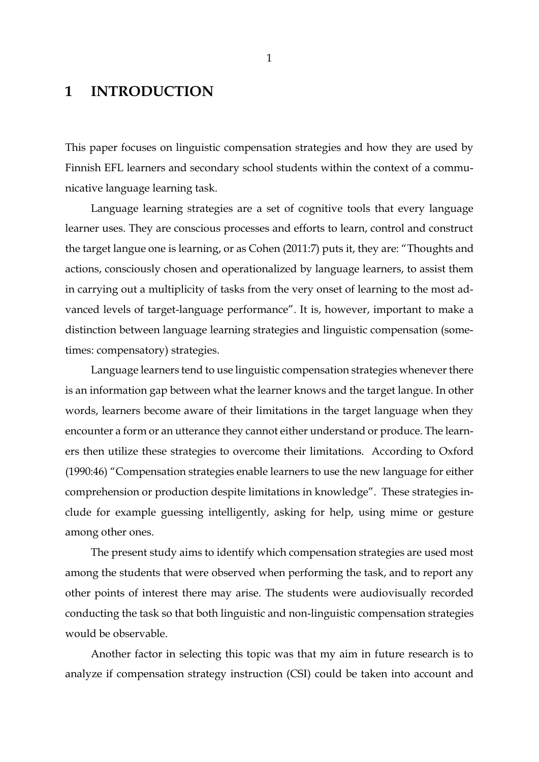## <span id="page-3-0"></span>**1 INTRODUCTION**

This paper focuses on linguistic compensation strategies and how they are used by Finnish EFL learners and secondary school students within the context of a communicative language learning task.

Language learning strategies are a set of cognitive tools that every language learner uses. They are conscious processes and efforts to learn, control and construct the target langue one is learning, or as Cohen (2011:7) puts it, they are: "Thoughts and actions, consciously chosen and operationalized by language learners, to assist them in carrying out a multiplicity of tasks from the very onset of learning to the most advanced levels of target-language performance". It is, however, important to make a distinction between language learning strategies and linguistic compensation (sometimes: compensatory) strategies.

Language learners tend to use linguistic compensation strategies whenever there is an information gap between what the learner knows and the target langue. In other words, learners become aware of their limitations in the target language when they encounter a form or an utterance they cannot either understand or produce. The learners then utilize these strategies to overcome their limitations. According to Oxford (1990:46) "Compensation strategies enable learners to use the new language for either comprehension or production despite limitations in knowledge". These strategies include for example guessing intelligently, asking for help, using mime or gesture among other ones.

The present study aims to identify which compensation strategies are used most among the students that were observed when performing the task, and to report any other points of interest there may arise. The students were audiovisually recorded conducting the task so that both linguistic and non-linguistic compensation strategies would be observable.

Another factor in selecting this topic was that my aim in future research is to analyze if compensation strategy instruction (CSI) could be taken into account and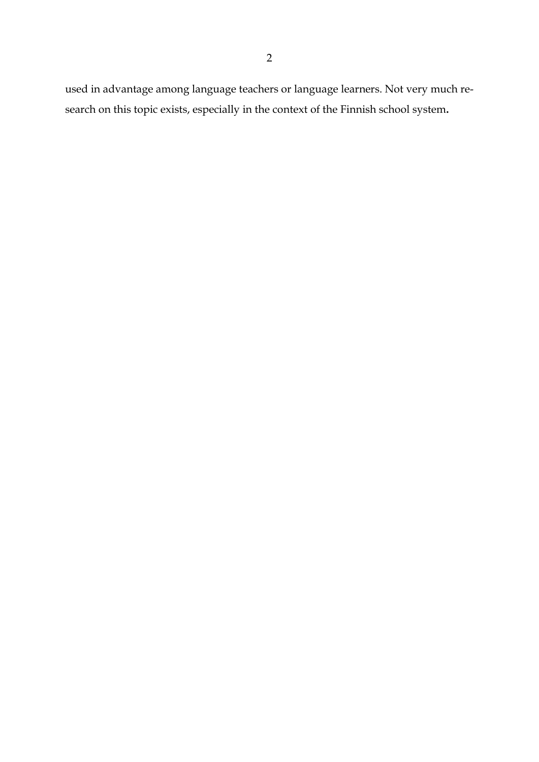used in advantage among language teachers or language learners. Not very much research on this topic exists, especially in the context of the Finnish school system**.**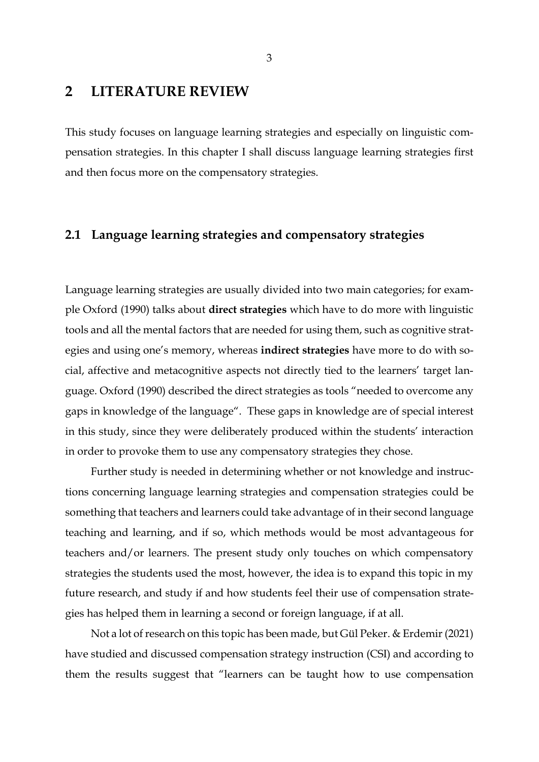## <span id="page-5-0"></span>**2 LITERATURE REVIEW**

This study focuses on language learning strategies and especially on linguistic compensation strategies. In this chapter I shall discuss language learning strategies first and then focus more on the compensatory strategies.

## <span id="page-5-1"></span>**2.1 Language learning strategies and compensatory strategies**

Language learning strategies are usually divided into two main categories; for example Oxford (1990) talks about **direct strategies** which have to do more with linguistic tools and all the mental factors that are needed for using them, such as cognitive strategies and using one's memory, whereas **indirect strategies** have more to do with social, affective and metacognitive aspects not directly tied to the learners' target language. Oxford (1990) described the direct strategies as tools "needed to overcome any gaps in knowledge of the language". These gaps in knowledge are of special interest in this study, since they were deliberately produced within the students' interaction in order to provoke them to use any compensatory strategies they chose.

Further study is needed in determining whether or not knowledge and instructions concerning language learning strategies and compensation strategies could be something that teachers and learners could take advantage of in their second language teaching and learning, and if so, which methods would be most advantageous for teachers and/or learners. The present study only touches on which compensatory strategies the students used the most, however, the idea is to expand this topic in my future research, and study if and how students feel their use of compensation strategies has helped them in learning a second or foreign language, if at all.

Not a lot of research on this topic has been made, but Gül Peker. & Erdemir (2021) have studied and discussed compensation strategy instruction (CSI) and according to them the results suggest that "learners can be taught how to use compensation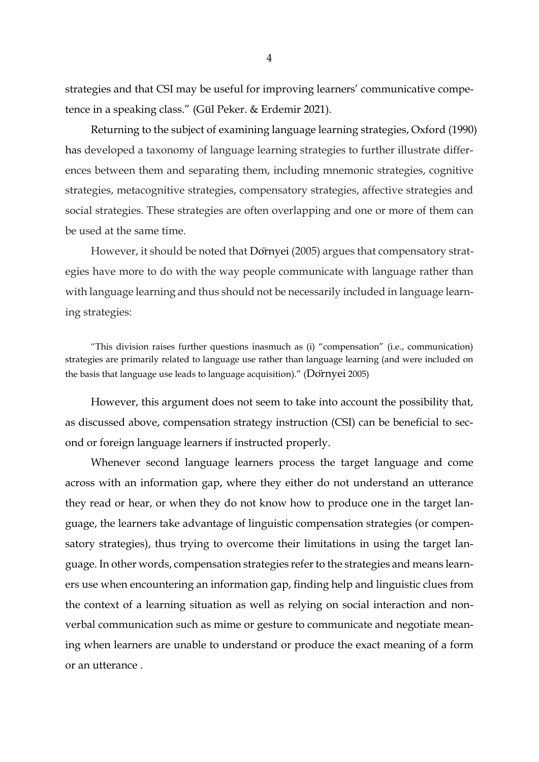strategies and that CSI may be useful for improving learners' communicative competence in a speaking class." (Gül Peker. & Erdemir 2021).

Returning to the subject of examining language learning strategies, Oxford (1990) has developed a taxonomy of language learning strategies to further illustrate differences between them and separating them, including mnemonic strategies, cognitive strategies, metacognitive strategies, compensatory strategies, affective strategies and social strategies. These strategies are often overlapping and one or more of them can be used at the same time.

However, it should be noted that Dörnyei (2005) argues that compensatory strategies have more to do with the way people communicate with language rather than with language learning and thus should not be necessarily included in language learning strategies:

"This division raises further questions inasmuch as (i) "compensation" (i.e., communication) strategies are primarily related to language use rather than language learning (and were included on the basis that language use leads to language acquisition)." (Dörnyei 2005)

However, this argument does not seem to take into account the possibility that, as discussed above, compensation strategy instruction (CSI) can be beneficial to second or foreign language learners if instructed properly.

Whenever second language learners process the target language and come across with an information gap, where they either do not understand an utterance they read or hear, or when they do not know how to produce one in the target language, the learners take advantage of linguistic compensation strategies (or compensatory strategies), thus trying to overcome their limitations in using the target language. In other words, compensation strategies refer to the strategies and means learners use when encountering an information gap, finding help and linguistic clues from the context of a learning situation as well as relying on social interaction and nonverbal communication such as mime or gesture to communicate and negotiate meaning when learners are unable to understand or produce the exact meaning of a form or an utterance .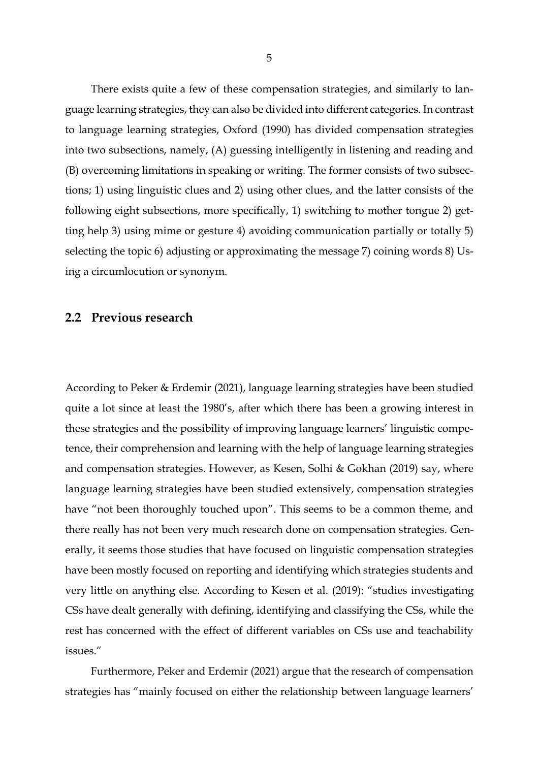There exists quite a few of these compensation strategies, and similarly to language learning strategies, they can also be divided into different categories. In contrast to language learning strategies, Oxford (1990) has divided compensation strategies into two subsections, namely, (A) guessing intelligently in listening and reading and (B) overcoming limitations in speaking or writing. The former consists of two subsections; 1) using linguistic clues and 2) using other clues, and the latter consists of the following eight subsections, more specifically, 1) switching to mother tongue 2) getting help 3) using mime or gesture 4) avoiding communication partially or totally 5) selecting the topic 6) adjusting or approximating the message 7) coining words 8) Using a circumlocution or synonym.

#### <span id="page-7-0"></span>**2.2 Previous research**

According to Peker & Erdemir (2021), language learning strategies have been studied quite a lot since at least the 1980's, after which there has been a growing interest in these strategies and the possibility of improving language learners' linguistic competence, their comprehension and learning with the help of language learning strategies and compensation strategies. However, as Kesen, Solhi & Gokhan (2019) say, where language learning strategies have been studied extensively, compensation strategies have "not been thoroughly touched upon". This seems to be a common theme, and there really has not been very much research done on compensation strategies. Generally, it seems those studies that have focused on linguistic compensation strategies have been mostly focused on reporting and identifying which strategies students and very little on anything else. According to Kesen et al. (2019): "studies investigating CSs have dealt generally with defining, identifying and classifying the CSs, while the rest has concerned with the effect of different variables on CSs use and teachability issues."

Furthermore, Peker and Erdemir (2021) argue that the research of compensation strategies has "mainly focused on either the relationship between language learners'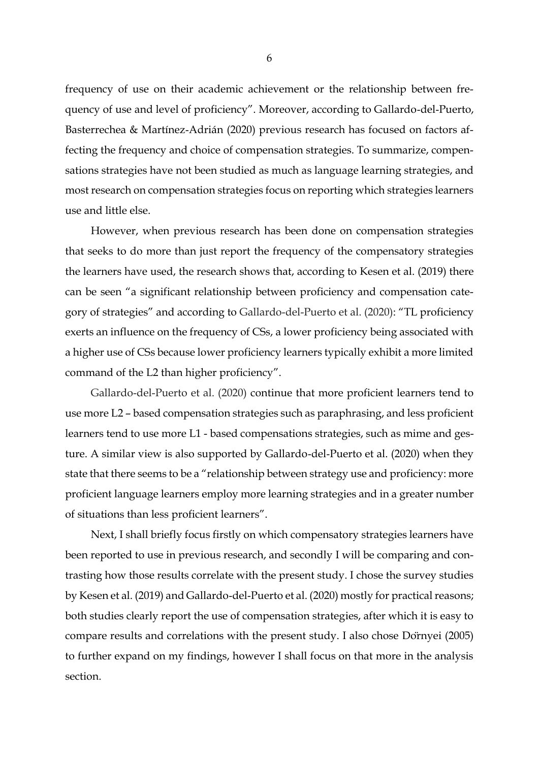frequency of use on their academic achievement or the relationship between frequency of use and level of proficiency". Moreover, according to Gallardo‐del‐Puerto, Basterrechea & Martínez‐Adrián (2020) previous research has focused on factors affecting the frequency and choice of compensation strategies. To summarize, compensations strategies have not been studied as much as language learning strategies, and most research on compensation strategies focus on reporting which strategies learners use and little else.

However, when previous research has been done on compensation strategies that seeks to do more than just report the frequency of the compensatory strategies the learners have used, the research shows that, according to Kesen et al. (2019) there can be seen "a significant relationship between proficiency and compensation category of strategies" and according to Gallardo-del-Puerto et al. (2020): "TL proficiency exerts an influence on the frequency of CSs, a lower proficiency being associated with a higher use of CSs because lower proficiency learners typically exhibit a more limited command of the L2 than higher proficiency".

Gallardo-del-Puerto et al. (2020) continue that more proficient learners tend to use more L2 – based compensation strategies such as paraphrasing, and less proficient learners tend to use more L1 - based compensations strategies, such as mime and gesture. A similar view is also supported by Gallardo‐del‐Puerto et al. (2020) when they state that there seems to be a "relationship between strategy use and proficiency: more proficient language learners employ more learning strategies and in a greater number of situations than less proficient learners".

Next, I shall briefly focus firstly on which compensatory strategies learners have been reported to use in previous research, and secondly I will be comparing and contrasting how those results correlate with the present study. I chose the survey studies by Kesen et al. (2019) and Gallardo‐del‐Puerto et al. (2020) mostly for practical reasons; both studies clearly report the use of compensation strategies, after which it is easy to compare results and correlations with the present study. I also chose Dörnyei (2005) to further expand on my findings, however I shall focus on that more in the analysis section.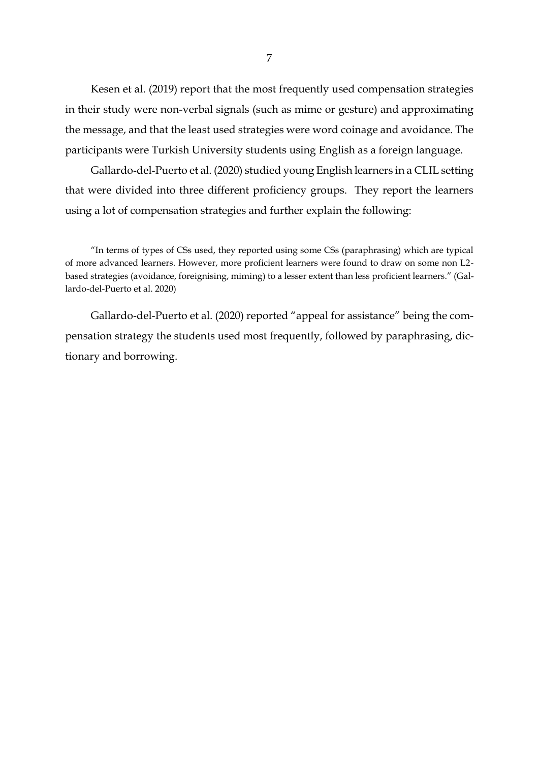Kesen et al. (2019) report that the most frequently used compensation strategies in their study were non-verbal signals (such as mime or gesture) and approximating the message, and that the least used strategies were word coinage and avoidance. The participants were Turkish University students using English as a foreign language.

Gallardo‐del‐Puerto et al. (2020) studied young English learners in a CLIL setting that were divided into three different proficiency groups. They report the learners using a lot of compensation strategies and further explain the following:

Gallardo‐del‐Puerto et al. (2020) reported "appeal for assistance" being the compensation strategy the students used most frequently, followed by paraphrasing, dictionary and borrowing.

<sup>&</sup>quot;In terms of types of CSs used, they reported using some CSs (paraphrasing) which are typical of more advanced learners. However, more proficient learners were found to draw on some non L2‐ based strategies (avoidance, foreignising, miming) to a lesser extent than less proficient learners." (Gallardo‐del‐Puerto et al. 2020)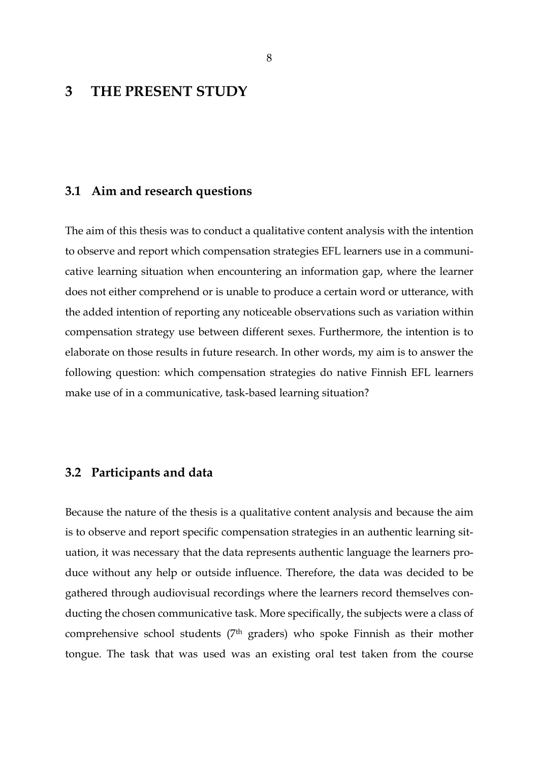## <span id="page-10-0"></span>**3 THE PRESENT STUDY**

#### <span id="page-10-1"></span>**3.1 Aim and research questions**

The aim of this thesis was to conduct a qualitative content analysis with the intention to observe and report which compensation strategies EFL learners use in a communicative learning situation when encountering an information gap, where the learner does not either comprehend or is unable to produce a certain word or utterance, with the added intention of reporting any noticeable observations such as variation within compensation strategy use between different sexes. Furthermore, the intention is to elaborate on those results in future research. In other words, my aim is to answer the following question: which compensation strategies do native Finnish EFL learners make use of in a communicative, task-based learning situation?

#### <span id="page-10-2"></span>**3.2 Participants and data**

Because the nature of the thesis is a qualitative content analysis and because the aim is to observe and report specific compensation strategies in an authentic learning situation, it was necessary that the data represents authentic language the learners produce without any help or outside influence. Therefore, the data was decided to be gathered through audiovisual recordings where the learners record themselves conducting the chosen communicative task. More specifically, the subjects were a class of comprehensive school students (7th graders) who spoke Finnish as their mother tongue. The task that was used was an existing oral test taken from the course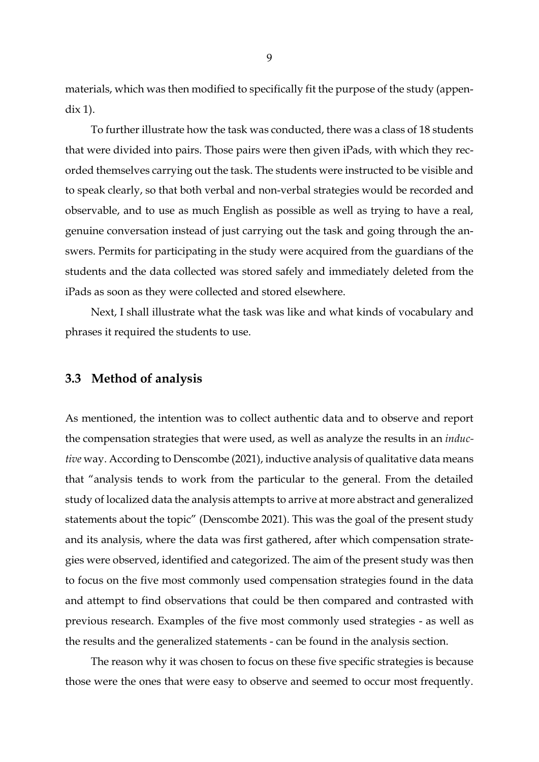materials, which was then modified to specifically fit the purpose of the study (appendix 1).

To further illustrate how the task was conducted, there was a class of 18 students that were divided into pairs. Those pairs were then given iPads, with which they recorded themselves carrying out the task. The students were instructed to be visible and to speak clearly, so that both verbal and non-verbal strategies would be recorded and observable, and to use as much English as possible as well as trying to have a real, genuine conversation instead of just carrying out the task and going through the answers. Permits for participating in the study were acquired from the guardians of the students and the data collected was stored safely and immediately deleted from the iPads as soon as they were collected and stored elsewhere.

Next, I shall illustrate what the task was like and what kinds of vocabulary and phrases it required the students to use.

### <span id="page-11-0"></span>**3.3 Method of analysis**

As mentioned, the intention was to collect authentic data and to observe and report the compensation strategies that were used, as well as analyze the results in an *inductive* way. According to Denscombe (2021), inductive analysis of qualitative data means that "analysis tends to work from the particular to the general. From the detailed study of localized data the analysis attempts to arrive at more abstract and generalized statements about the topic" (Denscombe 2021). This was the goal of the present study and its analysis, where the data was first gathered, after which compensation strategies were observed, identified and categorized. The aim of the present study was then to focus on the five most commonly used compensation strategies found in the data and attempt to find observations that could be then compared and contrasted with previous research. Examples of the five most commonly used strategies - as well as the results and the generalized statements - can be found in the analysis section.

The reason why it was chosen to focus on these five specific strategies is because those were the ones that were easy to observe and seemed to occur most frequently.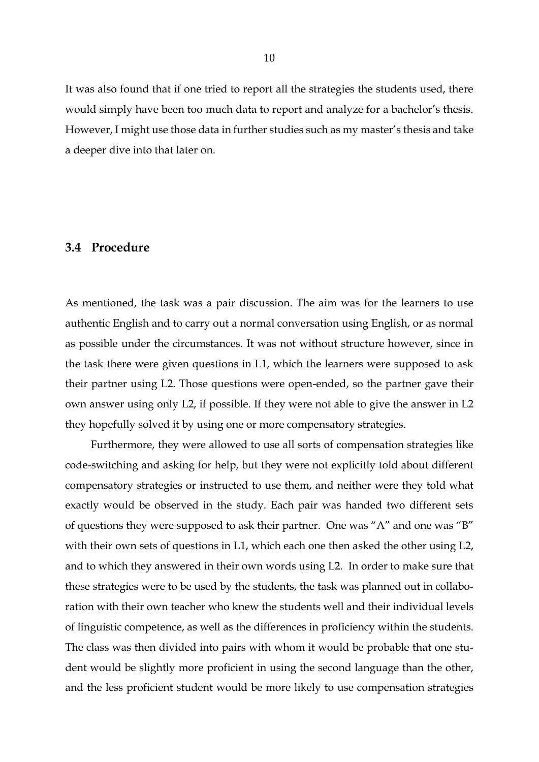It was also found that if one tried to report all the strategies the students used, there would simply have been too much data to report and analyze for a bachelor's thesis. However, I might use those data in further studies such as my master's thesis and take a deeper dive into that later on.

#### <span id="page-12-0"></span>**3.4 Procedure**

As mentioned, the task was a pair discussion. The aim was for the learners to use authentic English and to carry out a normal conversation using English, or as normal as possible under the circumstances. It was not without structure however, since in the task there were given questions in L1, which the learners were supposed to ask their partner using L2. Those questions were open-ended, so the partner gave their own answer using only L2, if possible. If they were not able to give the answer in L2 they hopefully solved it by using one or more compensatory strategies.

Furthermore, they were allowed to use all sorts of compensation strategies like code-switching and asking for help, but they were not explicitly told about different compensatory strategies or instructed to use them, and neither were they told what exactly would be observed in the study. Each pair was handed two different sets of questions they were supposed to ask their partner. One was "A" and one was "B" with their own sets of questions in L1, which each one then asked the other using L2, and to which they answered in their own words using L2. In order to make sure that these strategies were to be used by the students, the task was planned out in collaboration with their own teacher who knew the students well and their individual levels of linguistic competence, as well as the differences in proficiency within the students. The class was then divided into pairs with whom it would be probable that one student would be slightly more proficient in using the second language than the other, and the less proficient student would be more likely to use compensation strategies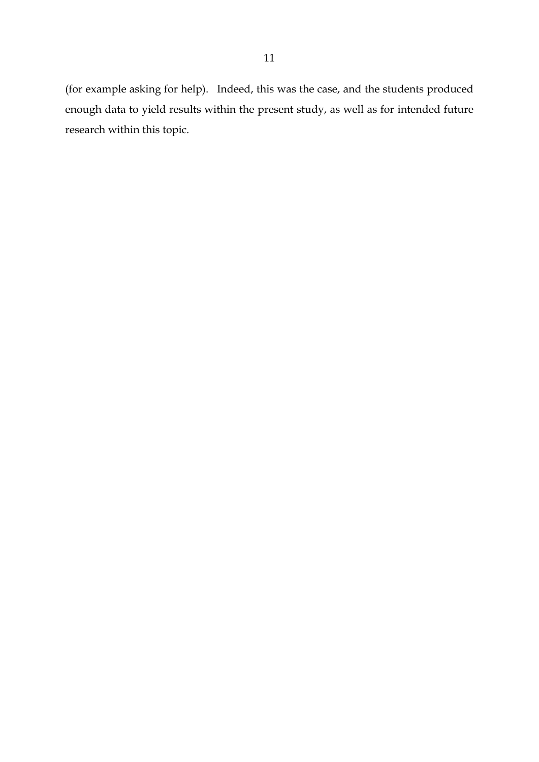(for example asking for help). Indeed, this was the case, and the students produced enough data to yield results within the present study, as well as for intended future research within this topic.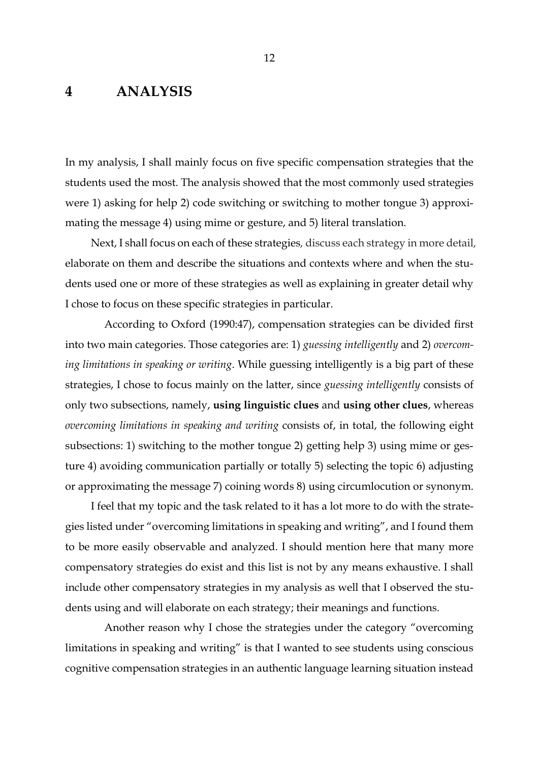## <span id="page-14-0"></span>**4 ANALYSIS**

In my analysis, I shall mainly focus on five specific compensation strategies that the students used the most. The analysis showed that the most commonly used strategies were 1) asking for help 2) code switching or switching to mother tongue 3) approximating the message 4) using mime or gesture, and 5) literal translation.

Next, I shall focus on each of these strategies*,* discuss each strategy in more detail*,*  elaborate on them and describe the situations and contexts where and when the students used one or more of these strategies as well as explaining in greater detail why I chose to focus on these specific strategies in particular.

 According to Oxford (1990:47), compensation strategies can be divided first into two main categories. Those categories are: 1) *guessing intelligently* and 2) *overcoming limitations in speaking or writing*. While guessing intelligently is a big part of these strategies, I chose to focus mainly on the latter, since *guessing intelligently* consists of only two subsections, namely, **using linguistic clues** and **using other clues**, whereas *overcoming limitations in speaking and writing* consists of, in total, the following eight subsections: 1) switching to the mother tongue 2) getting help 3) using mime or gesture 4) avoiding communication partially or totally 5) selecting the topic 6) adjusting or approximating the message 7) coining words 8) using circumlocution or synonym.

I feel that my topic and the task related to it has a lot more to do with the strategies listed under "overcoming limitations in speaking and writing", and I found them to be more easily observable and analyzed. I should mention here that many more compensatory strategies do exist and this list is not by any means exhaustive. I shall include other compensatory strategies in my analysis as well that I observed the students using and will elaborate on each strategy; their meanings and functions.

 Another reason why I chose the strategies under the category "overcoming limitations in speaking and writing" is that I wanted to see students using conscious cognitive compensation strategies in an authentic language learning situation instead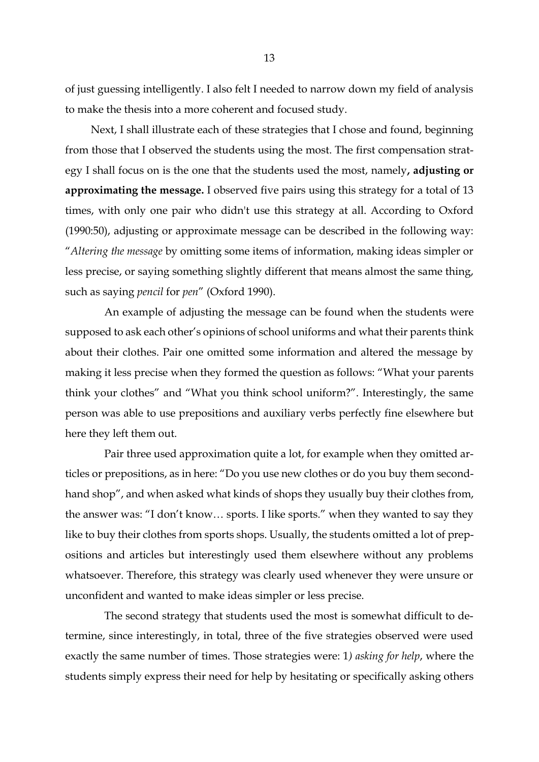of just guessing intelligently. I also felt I needed to narrow down my field of analysis to make the thesis into a more coherent and focused study.

Next, I shall illustrate each of these strategies that I chose and found, beginning from those that I observed the students using the most. The first compensation strategy I shall focus on is the one that the students used the most, namely**, adjusting or approximating the message.** I observed five pairs using this strategy for a total of 13 times, with only one pair who didn't use this strategy at all. According to Oxford (1990:50), adjusting or approximate message can be described in the following way: "*Altering the message* by omitting some items of information, making ideas simpler or less precise, or saying something slightly different that means almost the same thing, such as saying *pencil* for *pen*" (Oxford 1990).

 An example of adjusting the message can be found when the students were supposed to ask each other's opinions of school uniforms and what their parents think about their clothes. Pair one omitted some information and altered the message by making it less precise when they formed the question as follows: "What your parents think your clothes" and "What you think school uniform?". Interestingly, the same person was able to use prepositions and auxiliary verbs perfectly fine elsewhere but here they left them out.

 Pair three used approximation quite a lot, for example when they omitted articles or prepositions, as in here: "Do you use new clothes or do you buy them secondhand shop", and when asked what kinds of shops they usually buy their clothes from, the answer was: "I don't know… sports. I like sports." when they wanted to say they like to buy their clothes from sports shops. Usually, the students omitted a lot of prepositions and articles but interestingly used them elsewhere without any problems whatsoever. Therefore, this strategy was clearly used whenever they were unsure or unconfident and wanted to make ideas simpler or less precise.

 The second strategy that students used the most is somewhat difficult to determine, since interestingly, in total, three of the five strategies observed were used exactly the same number of times. Those strategies were: 1*) asking for help*, where the students simply express their need for help by hesitating or specifically asking others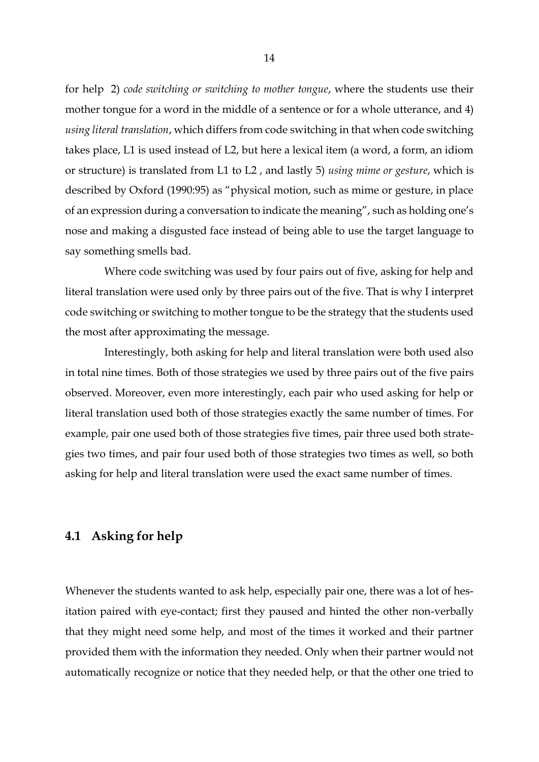for help 2) *code switching or switching to mother tongue*, where the students use their mother tongue for a word in the middle of a sentence or for a whole utterance, and 4) *using literal translation*, which differs from code switching in that when code switching takes place, L1 is used instead of L2, but here a lexical item (a word, a form, an idiom or structure) is translated from L1 to L2 , and lastly 5) *using mime or gesture*, which is described by Oxford (1990:95) as "physical motion, such as mime or gesture, in place of an expression during a conversation to indicate the meaning", such as holding one's nose and making a disgusted face instead of being able to use the target language to say something smells bad.

 Where code switching was used by four pairs out of five, asking for help and literal translation were used only by three pairs out of the five. That is why I interpret code switching or switching to mother tongue to be the strategy that the students used the most after approximating the message.

 Interestingly, both asking for help and literal translation were both used also in total nine times. Both of those strategies we used by three pairs out of the five pairs observed. Moreover, even more interestingly, each pair who used asking for help or literal translation used both of those strategies exactly the same number of times. For example, pair one used both of those strategies five times, pair three used both strategies two times, and pair four used both of those strategies two times as well, so both asking for help and literal translation were used the exact same number of times.

## <span id="page-16-0"></span>**4.1 Asking for help**

Whenever the students wanted to ask help, especially pair one, there was a lot of hesitation paired with eye-contact; first they paused and hinted the other non-verbally that they might need some help, and most of the times it worked and their partner provided them with the information they needed. Only when their partner would not automatically recognize or notice that they needed help, or that the other one tried to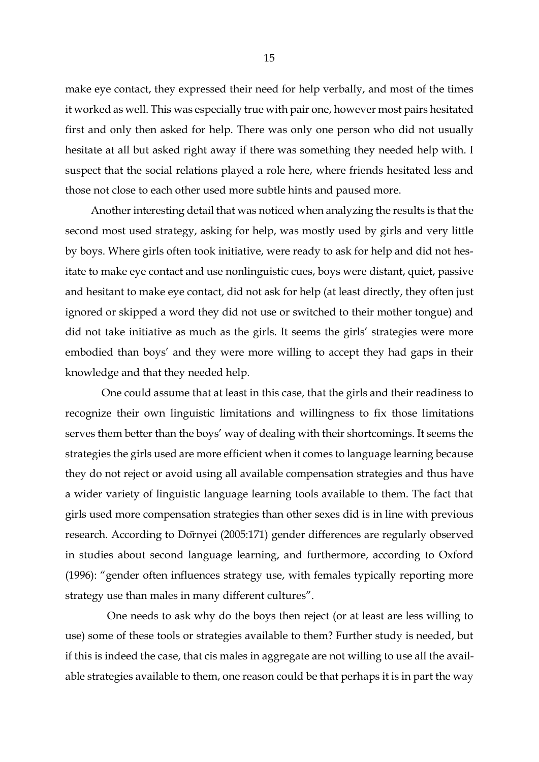make eye contact, they expressed their need for help verbally, and most of the times it worked as well. This was especially true with pair one, however most pairs hesitated first and only then asked for help. There was only one person who did not usually hesitate at all but asked right away if there was something they needed help with. I suspect that the social relations played a role here, where friends hesitated less and those not close to each other used more subtle hints and paused more.

Another interesting detail that was noticed when analyzing the results is that the second most used strategy, asking for help, was mostly used by girls and very little by boys. Where girls often took initiative, were ready to ask for help and did not hesitate to make eye contact and use nonlinguistic cues, boys were distant, quiet, passive and hesitant to make eye contact, did not ask for help (at least directly, they often just ignored or skipped a word they did not use or switched to their mother tongue) and did not take initiative as much as the girls. It seems the girls' strategies were more embodied than boys' and they were more willing to accept they had gaps in their knowledge and that they needed help.

 One could assume that at least in this case, that the girls and their readiness to recognize their own linguistic limitations and willingness to fix those limitations serves them better than the boys' way of dealing with their shortcomings. It seems the strategies the girls used are more efficient when it comes to language learning because they do not reject or avoid using all available compensation strategies and thus have a wider variety of linguistic language learning tools available to them. The fact that girls used more compensation strategies than other sexes did is in line with previous research. According to Dörnyei (2005:171) gender differences are regularly observed in studies about second language learning, and furthermore, according to Oxford (1996): "gender often influences strategy use, with females typically reporting more strategy use than males in many different cultures".

 One needs to ask why do the boys then reject (or at least are less willing to use) some of these tools or strategies available to them? Further study is needed, but if this is indeed the case, that cis males in aggregate are not willing to use all the available strategies available to them, one reason could be that perhaps it is in part the way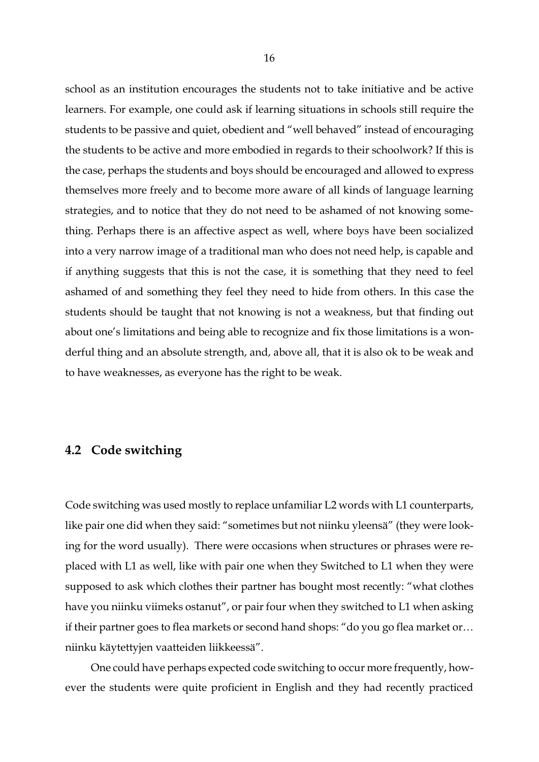school as an institution encourages the students not to take initiative and be active learners. For example, one could ask if learning situations in schools still require the students to be passive and quiet, obedient and "well behaved" instead of encouraging the students to be active and more embodied in regards to their schoolwork? If this is the case, perhaps the students and boys should be encouraged and allowed to express themselves more freely and to become more aware of all kinds of language learning strategies, and to notice that they do not need to be ashamed of not knowing something. Perhaps there is an affective aspect as well, where boys have been socialized into a very narrow image of a traditional man who does not need help, is capable and if anything suggests that this is not the case, it is something that they need to feel ashamed of and something they feel they need to hide from others. In this case the students should be taught that not knowing is not a weakness, but that finding out about one's limitations and being able to recognize and fix those limitations is a wonderful thing and an absolute strength, and, above all, that it is also ok to be weak and to have weaknesses, as everyone has the right to be weak.

### <span id="page-18-0"></span>**4.2 Code switching**

Code switching was used mostly to replace unfamiliar L2 words with L1 counterparts, like pair one did when they said: "sometimes but not niinku yleensä" (they were looking for the word usually). There were occasions when structures or phrases were replaced with L1 as well, like with pair one when they Switched to L1 when they were supposed to ask which clothes their partner has bought most recently: "what clothes have you niinku viimeks ostanut", or pair four when they switched to L1 when asking if their partner goes to flea markets or second hand shops: "do you go flea market or… niinku käytettyjen vaatteiden liikkeessä".

One could have perhaps expected code switching to occur more frequently, however the students were quite proficient in English and they had recently practiced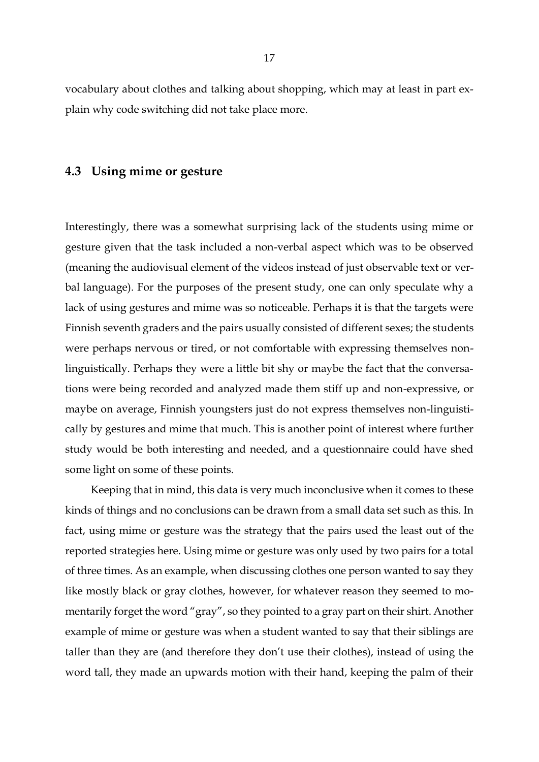vocabulary about clothes and talking about shopping, which may at least in part explain why code switching did not take place more.

### <span id="page-19-0"></span>**4.3 Using mime or gesture**

Interestingly, there was a somewhat surprising lack of the students using mime or gesture given that the task included a non-verbal aspect which was to be observed (meaning the audiovisual element of the videos instead of just observable text or verbal language). For the purposes of the present study, one can only speculate why a lack of using gestures and mime was so noticeable. Perhaps it is that the targets were Finnish seventh graders and the pairs usually consisted of different sexes; the students were perhaps nervous or tired, or not comfortable with expressing themselves nonlinguistically. Perhaps they were a little bit shy or maybe the fact that the conversations were being recorded and analyzed made them stiff up and non-expressive, or maybe on average, Finnish youngsters just do not express themselves non-linguistically by gestures and mime that much. This is another point of interest where further study would be both interesting and needed, and a questionnaire could have shed some light on some of these points.

Keeping that in mind, this data is very much inconclusive when it comes to these kinds of things and no conclusions can be drawn from a small data set such as this. In fact, using mime or gesture was the strategy that the pairs used the least out of the reported strategies here. Using mime or gesture was only used by two pairs for a total of three times. As an example, when discussing clothes one person wanted to say they like mostly black or gray clothes, however, for whatever reason they seemed to momentarily forget the word "gray", so they pointed to a gray part on their shirt. Another example of mime or gesture was when a student wanted to say that their siblings are taller than they are (and therefore they don't use their clothes), instead of using the word tall, they made an upwards motion with their hand, keeping the palm of their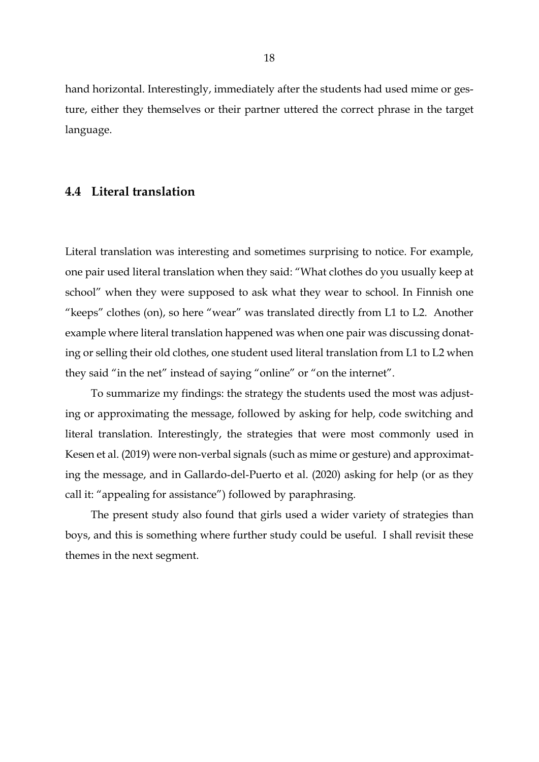hand horizontal. Interestingly, immediately after the students had used mime or gesture, either they themselves or their partner uttered the correct phrase in the target language.

### <span id="page-20-0"></span>**4.4 Literal translation**

Literal translation was interesting and sometimes surprising to notice. For example, one pair used literal translation when they said: "What clothes do you usually keep at school" when they were supposed to ask what they wear to school. In Finnish one "keeps" clothes (on), so here "wear" was translated directly from L1 to L2. Another example where literal translation happened was when one pair was discussing donating or selling their old clothes, one student used literal translation from L1 to L2 when they said "in the net" instead of saying "online" or "on the internet".

To summarize my findings: the strategy the students used the most was adjusting or approximating the message, followed by asking for help, code switching and literal translation. Interestingly, the strategies that were most commonly used in Kesen et al. (2019) were non-verbal signals (such as mime or gesture) and approximating the message, and in Gallardo‐del‐Puerto et al. (2020) asking for help (or as they call it: "appealing for assistance") followed by paraphrasing.

The present study also found that girls used a wider variety of strategies than boys, and this is something where further study could be useful. I shall revisit these themes in the next segment.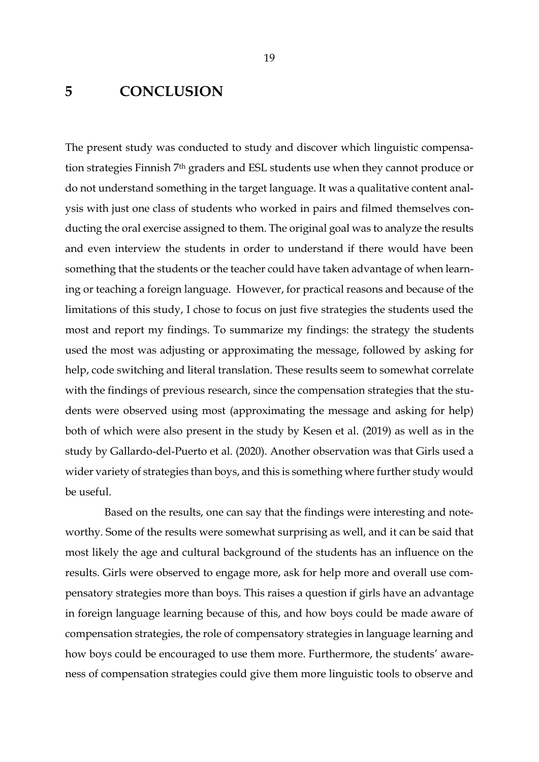## <span id="page-21-0"></span>**5 CONCLUSION**

The present study was conducted to study and discover which linguistic compensation strategies Finnish 7th graders and ESL students use when they cannot produce or do not understand something in the target language. It was a qualitative content analysis with just one class of students who worked in pairs and filmed themselves conducting the oral exercise assigned to them. The original goal was to analyze the results and even interview the students in order to understand if there would have been something that the students or the teacher could have taken advantage of when learning or teaching a foreign language. However, for practical reasons and because of the limitations of this study, I chose to focus on just five strategies the students used the most and report my findings. To summarize my findings: the strategy the students used the most was adjusting or approximating the message, followed by asking for help, code switching and literal translation. These results seem to somewhat correlate with the findings of previous research, since the compensation strategies that the students were observed using most (approximating the message and asking for help) both of which were also present in the study by Kesen et al. (2019) as well as in the study by Gallardo‐del‐Puerto et al. (2020). Another observation was that Girls used a wider variety of strategies than boys, and this is something where further study would be useful.

Based on the results, one can say that the findings were interesting and noteworthy. Some of the results were somewhat surprising as well, and it can be said that most likely the age and cultural background of the students has an influence on the results. Girls were observed to engage more, ask for help more and overall use compensatory strategies more than boys. This raises a question if girls have an advantage in foreign language learning because of this, and how boys could be made aware of compensation strategies, the role of compensatory strategies in language learning and how boys could be encouraged to use them more. Furthermore, the students' awareness of compensation strategies could give them more linguistic tools to observe and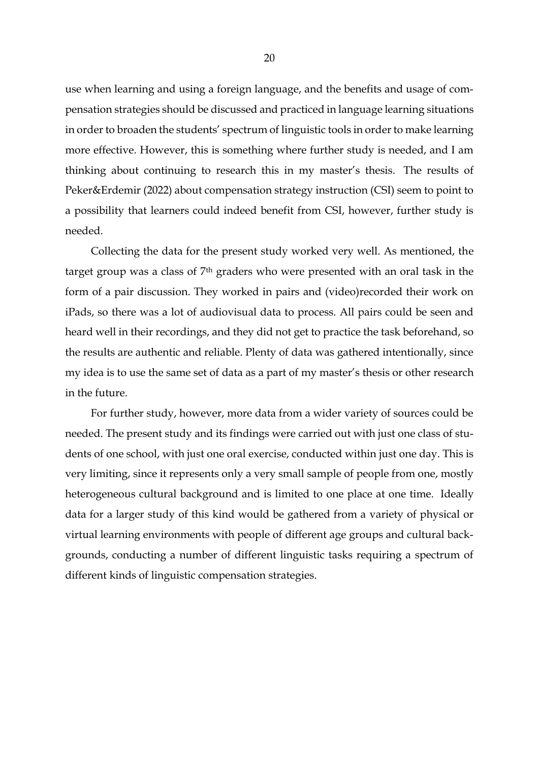use when learning and using a foreign language, and the benefits and usage of compensation strategies should be discussed and practiced in language learning situations in order to broaden the students' spectrum of linguistic tools in order to make learning more effective. However, this is something where further study is needed, and I am thinking about continuing to research this in my master's thesis. The results of Peker&Erdemir (2022) about compensation strategy instruction (CSI) seem to point to a possibility that learners could indeed benefit from CSI, however, further study is needed.

Collecting the data for the present study worked very well. As mentioned, the target group was a class of 7th graders who were presented with an oral task in the form of a pair discussion. They worked in pairs and (video)recorded their work on iPads, so there was a lot of audiovisual data to process. All pairs could be seen and heard well in their recordings, and they did not get to practice the task beforehand, so the results are authentic and reliable. Plenty of data was gathered intentionally, since my idea is to use the same set of data as a part of my master's thesis or other research in the future.

For further study, however, more data from a wider variety of sources could be needed. The present study and its findings were carried out with just one class of students of one school, with just one oral exercise, conducted within just one day. This is very limiting, since it represents only a very small sample of people from one, mostly heterogeneous cultural background and is limited to one place at one time. Ideally data for a larger study of this kind would be gathered from a variety of physical or virtual learning environments with people of different age groups and cultural backgrounds, conducting a number of different linguistic tasks requiring a spectrum of different kinds of linguistic compensation strategies.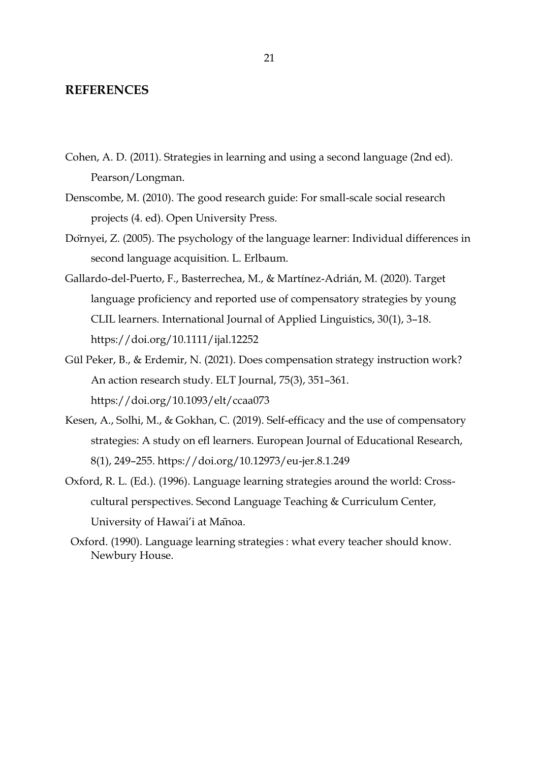#### <span id="page-23-0"></span>**REFERENCES**

- Cohen, A. D. (2011). Strategies in learning and using a second language (2nd ed). Pearson/Longman.
- Denscombe, M. (2010). The good research guide: For small-scale social research projects (4. ed). Open University Press.
- Dörnyei, Z. (2005). The psychology of the language learner: Individual differences in second language acquisition. L. Erlbaum.
- Gallardo‐del‐Puerto, F., Basterrechea, M., & Martínez‐Adrián, M. (2020). Target language proficiency and reported use of compensatory strategies by young CLIL learners. International Journal of Applied Linguistics, 30(1), 3–18. https://doi.org/10.1111/ijal.12252
- Gül Peker, B., & Erdemir, N. (2021). Does compensation strategy instruction work? An action research study. ELT Journal, 75(3), 351–361. https://doi.org/10.1093/elt/ccaa073
- Kesen, A., Solhi, M., & Gokhan, C. (2019). Self-efficacy and the use of compensatory strategies: A study on efl learners. European Journal of Educational Research, 8(1), 249–255. https://doi.org/10.12973/eu-jer.8.1.249
- Oxford, R. L. (Ed.). (1996). Language learning strategies around the world: Crosscultural perspectives. Second Language Teaching & Curriculum Center, University of Hawai'i at Mānoa.
- Oxford. (1990). Language learning strategies : what every teacher should know. Newbury House.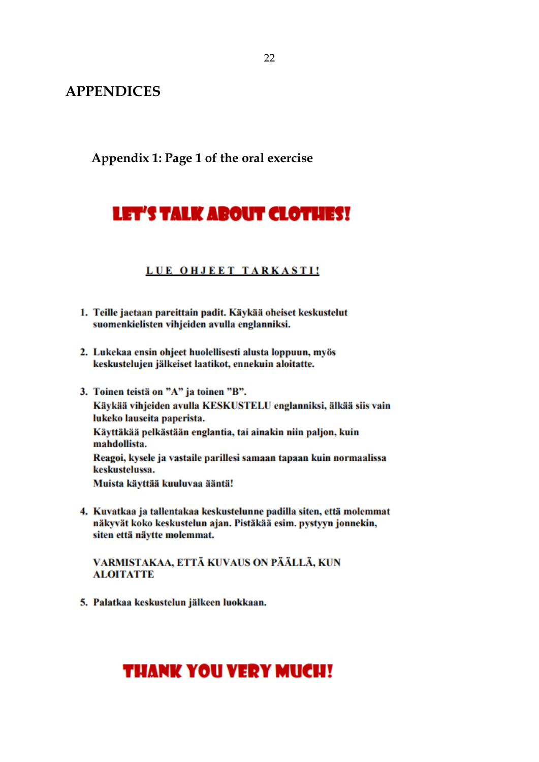<span id="page-24-0"></span>**APPENDICES**

<span id="page-24-1"></span>**Appendix 1: Page 1 of the oral exercise**

# LET'S TALK ABOUT CLOTHES!

## LUE OHJEET TARKASTI!

- 1. Teille jaetaan pareittain padit. Käykää oheiset keskustelut suomenkielisten vihjeiden avulla englanniksi.
- 2. Lukekaa ensin ohjeet huolellisesti alusta loppuun, myös keskustelujen jälkeiset laatikot, ennekuin aloitatte.
- 3. Toinen teistä on "A" ja toinen "B". Käykää vihjeiden avulla KESKUSTELU englanniksi, älkää siis vain lukeko lauseita paperista. Käyttäkää pelkästään englantia, tai ainakin niin paljon, kuin mahdollista. Reagoi, kysele ja vastaile parillesi samaan tapaan kuin normaalissa keskustelussa. Muista käyttää kuuluvaa ääntä!
- 4. Kuvatkaa ja tallentakaa keskustelunne padilla siten, että molemmat näkyvät koko keskustelun ajan. Pistäkää esim. pystyyn jonnekin, siten että näytte molemmat.

#### VARMISTAKAA, ETTÄ KUVAUS ON PÄÄLLÄ, KUN **ALOITATTE**

5. Palatkaa keskustelun jälkeen luokkaan.

# **THANK YOU VERY MUCH!**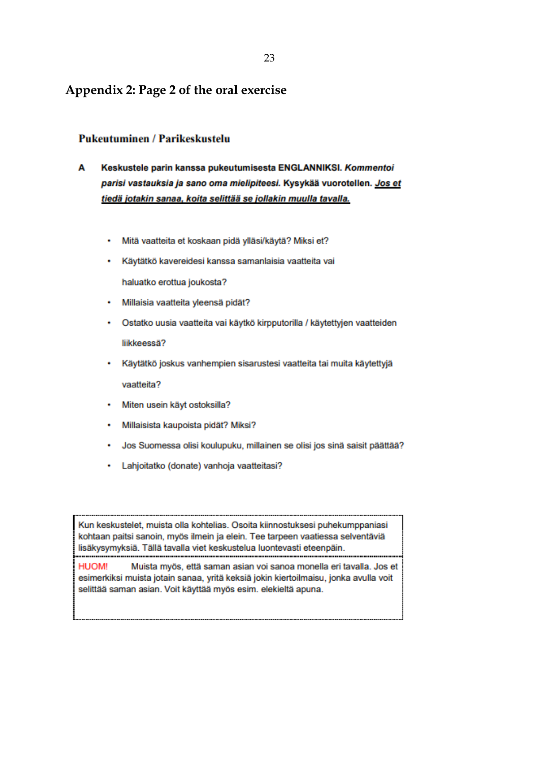## <span id="page-25-0"></span>**Appendix 2: Page 2 of the oral exercise**

#### **Pukeutuminen / Parikeskustelu**

- Keskustele parin kanssa pukeutumisesta ENGLANNIKSI. Kommentoi A parisi vastauksia ja sano oma mielipiteesi. Kysykää vuorotellen. Jos et tiedä jotakin sanaa, koita selittää se jollakin muulla tavalla.
	- Mitä vaatteita et koskaan pidä ylläsi/käytä? Miksi et? ٠
	- Käytätkö kavereidesi kanssa samanlaisia vaatteita vai

haluatko erottua joukosta?

- Millaisia vaatteita yleensä pidät?
- Ostatko uusia vaatteita vai käytkö kirpputorilla / käytettyjen vaatteiden liikkeessä?
- Käytätkö joskus vanhempien sisarustesi vaatteita tai muita käytettyjä vaatteita?
- Miten usein käyt ostoksilla?
- · Millaisista kaupoista pidät? Miksi?
- · Jos Suomessa olisi koulupuku, millainen se olisi jos sinä saisit päättää?
- Lahjoitatko (donate) vanhoja vaatteitasi?

Kun keskustelet, muista olla kohtelias. Osoita kiinnostuksesi puhekumppaniasi kohtaan paitsi sanoin, myös ilmein ja elein. Tee tarpeen vaatiessa selventäviä lisäkysymyksiä. Tällä tavalla viet keskustelua luontevasti eteenpäin. 

**HUOM!** Muista myös, että saman asian voi sanoa monella eri tavalla. Jos et esimerkiksi muista jotain sanaa, yritä keksiä jokin kiertoilmaisu, jonka avulla voit selittää saman asian. Voit käyttää myös esim. elekieltä apuna.